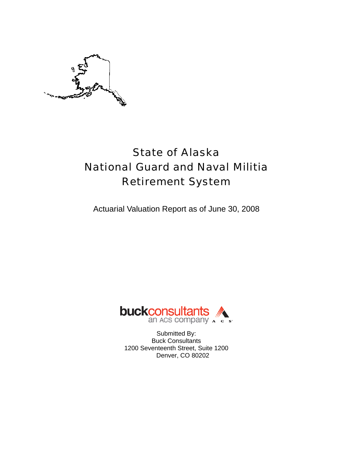

# State of Alaska National Guard and Naval Militia Retirement System

Actuarial Valuation Report as of June 30, 2008



Submitted By: Buck Consultants 1200 Seventeenth Street, Suite 1200 Denver, CO 80202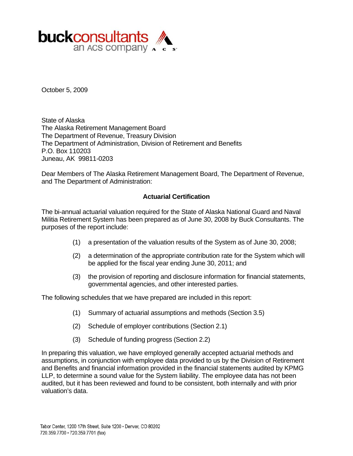

October 5, 2009

State of Alaska The Alaska Retirement Management Board The Department of Revenue, Treasury Division The Department of Administration, Division of Retirement and Benefits P.O. Box 110203 Juneau, AK 99811-0203

Dear Members of The Alaska Retirement Management Board, The Department of Revenue, and The Department of Administration:

#### **Actuarial Certification**

The bi-annual actuarial valuation required for the State of Alaska National Guard and Naval Militia Retirement System has been prepared as of June 30, 2008 by Buck Consultants. The purposes of the report include:

- (1) a presentation of the valuation results of the System as of June 30, 2008;
- (2) a determination of the appropriate contribution rate for the System which will be applied for the fiscal year ending June 30, 2011; and
- (3) the provision of reporting and disclosure information for financial statements, governmental agencies, and other interested parties.

The following schedules that we have prepared are included in this report:

- (1) Summary of actuarial assumptions and methods (Section 3.5)
- (2) Schedule of employer contributions (Section 2.1)
- (3) Schedule of funding progress (Section 2.2)

In preparing this valuation, we have employed generally accepted actuarial methods and assumptions, in conjunction with employee data provided to us by the Division of Retirement and Benefits and financial information provided in the financial statements audited by KPMG LLP, to determine a sound value for the System liability. The employee data has not been audited, but it has been reviewed and found to be consistent, both internally and with prior valuation's data.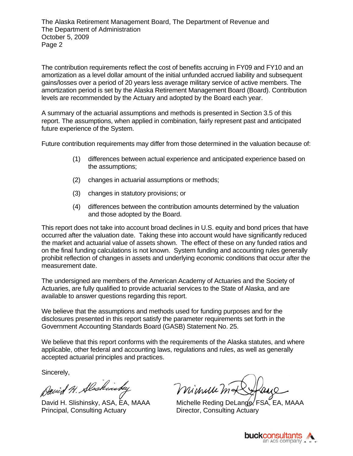The contribution requirements reflect the cost of benefits accruing in FY09 and FY10 and an amortization as a level dollar amount of the initial unfunded accrued liability and subsequent gains/losses over a period of 20 years less average military service of active members. The amortization period is set by the Alaska Retirement Management Board (Board). Contribution levels are recommended by the Actuary and adopted by the Board each year.

A summary of the actuarial assumptions and methods is presented in Section 3.5 of this report. The assumptions, when applied in combination, fairly represent past and anticipated future experience of the System.

Future contribution requirements may differ from those determined in the valuation because of:

- (1) differences between actual experience and anticipated experience based on the assumptions;
- (2) changes in actuarial assumptions or methods;
- (3) changes in statutory provisions; or
- (4) differences between the contribution amounts determined by the valuation and those adopted by the Board.

This report does not take into account broad declines in U.S. equity and bond prices that have occurred after the valuation date. Taking these into account would have significantly reduced the market and actuarial value of assets shown. The effect of these on any funded ratios and on the final funding calculations is not known. System funding and accounting rules generally prohibit reflection of changes in assets and underlying economic conditions that occur after the measurement date.

The undersigned are members of the American Academy of Actuaries and the Society of Actuaries, are fully qualified to provide actuarial services to the State of Alaska, and are available to answer questions regarding this report.

We believe that the assumptions and methods used for funding purposes and for the disclosures presented in this report satisfy the parameter requirements set forth in the Government Accounting Standards Board (GASB) Statement No. 25.

We believe that this report conforms with the requirements of the Alaska statutes, and where applicable, other federal and accounting laws, regulations and rules, as well as generally accepted actuarial principles and practices.

Sincerely,

David H. Slaskinsky

Principal, Consulting Actuary **Director, Consulting Actuary** 

minuum#

David H. Slishinsky, ASA, EA, MAAA Michelle Reding DeLange, FSA, EA, MAAA

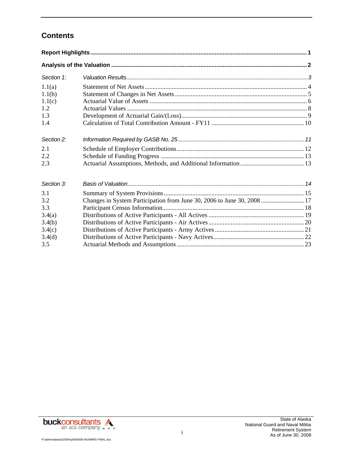# **Contents**

| Section 1:                                                |                                                                         |  |
|-----------------------------------------------------------|-------------------------------------------------------------------------|--|
| 1.1(a)                                                    |                                                                         |  |
| 1.1(b)<br>1.1(c)                                          |                                                                         |  |
| 1.2<br>1.3                                                |                                                                         |  |
| 1.4                                                       |                                                                         |  |
| Section 2:                                                |                                                                         |  |
| 2.1                                                       |                                                                         |  |
| 2.2<br>2.3                                                |                                                                         |  |
| Section 3:                                                |                                                                         |  |
| 3.1<br>3.2<br>3.3<br>3.4(a)<br>3.4(b)<br>3.4(c)<br>3.4(d) | Changes in System Participation from June 30, 2006 to June 30, 2008  17 |  |
| 3.5                                                       |                                                                         |  |



P:\admin\alaska\2009\rpt063008-NGNMRS FINAL.doc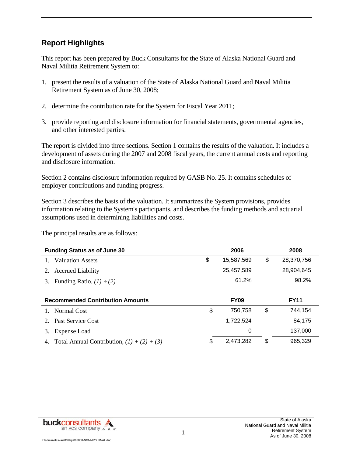### **Report Highlights**

This report has been prepared by Buck Consultants for the State of Alaska National Guard and Naval Militia Retirement System to:

- 1. present the results of a valuation of the State of Alaska National Guard and Naval Militia Retirement System as of June 30, 2008;
- 2. determine the contribution rate for the System for Fiscal Year 2011;
- 3. provide reporting and disclosure information for financial statements, governmental agencies, and other interested parties.

The report is divided into three sections. Section 1 contains the results of the valuation. It includes a development of assets during the 2007 and 2008 fiscal years, the current annual costs and reporting and disclosure information.

Section 2 contains disclosure information required by GASB No. 25. It contains schedules of employer contributions and funding progress.

Section 3 describes the basis of the valuation. It summarizes the System provisions, provides information relating to the System's participants, and describes the funding methods and actuarial assumptions used in determining liabilities and costs.

The principal results are as follows:

| <b>Funding Status as of June 30</b>     | 2006             | 2008             |
|-----------------------------------------|------------------|------------------|
| <b>Valuation Assets</b>                 | \$<br>15,587,569 | \$<br>28,370,756 |
| <b>Accrued Liability</b><br>2.          | 25,457,589       | 28,904,645       |
| Funding Ratio, $(1) \div (2)$<br>3.     | 61.2%            | 98.2%            |
|                                         |                  |                  |
|                                         |                  |                  |
| <b>Recommended Contribution Amounts</b> | <b>FY09</b>      | <b>FY11</b>      |
| Normal Cost                             | \$<br>750,758    | \$<br>744,154    |
| 2. Past Service Cost                    | 1,722,524        | 84,175           |
| Expense Load<br>3.                      | 0                | 137,000          |

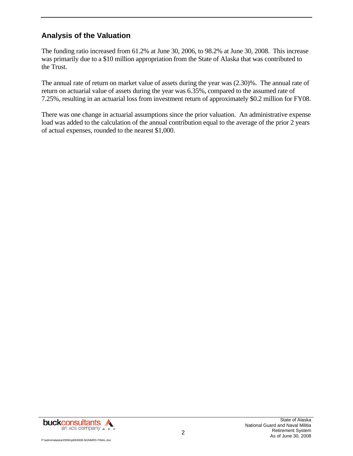### **Analysis of the Valuation**

The funding ratio increased from 61.2% at June 30, 2006, to 98.2% at June 30, 2008. This increase was primarily due to a \$10 million appropriation from the State of Alaska that was contributed to the Trust.

The annual rate of return on market value of assets during the year was (2.30)%. The annual rate of return on actuarial value of assets during the year was 6.35%, compared to the assumed rate of 7.25%, resulting in an actuarial loss from investment return of approximately \$0.2 million for FY08.

There was one change in actuarial assumptions since the prior valuation. An administrative expense load was added to the calculation of the annual contribution equal to the average of the prior 2 years of actual expenses, rounded to the nearest \$1,000.

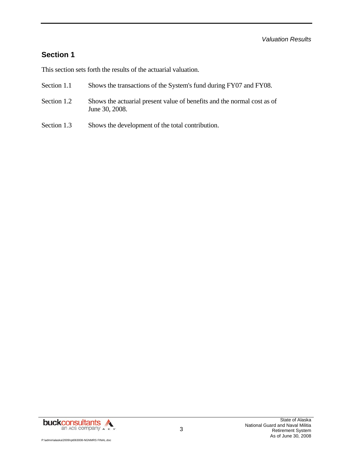### **Section 1**

This section sets forth the results of the actuarial valuation.

- Section 1.1 Shows the transactions of the System's fund during FY07 and FY08.
- Section 1.2 Shows the actuarial present value of benefits and the normal cost as of June 30, 2008.
- Section 1.3 Shows the development of the total contribution.

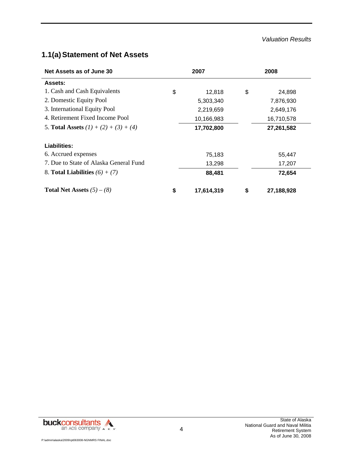#### *Valuation Results*

# **1.1(a) Statement of Net Assets**

| Net Assets as of June 30                | 2007             | 2008 |            |  |  |
|-----------------------------------------|------------------|------|------------|--|--|
| <b>Assets:</b>                          |                  |      |            |  |  |
| 1. Cash and Cash Equivalents            | \$<br>12,818     | \$   | 24,898     |  |  |
| 2. Domestic Equity Pool                 | 5,303,340        |      | 7,876,930  |  |  |
| 3. International Equity Pool            | 2,219,659        |      | 2,649,176  |  |  |
| 4. Retirement Fixed Income Pool         | 10,166,983       |      | 16,710,578 |  |  |
| 5. Total Assets $(1) + (2) + (3) + (4)$ | 17,702,800       |      | 27,261,582 |  |  |
| Liabilities:                            |                  |      |            |  |  |
| 6. Accrued expenses                     | 75,183           |      | 55,447     |  |  |
| 7. Due to State of Alaska General Fund  | 13,298           |      | 17,207     |  |  |
| 8. Total Liabilities $(6) + (7)$        | 88,481           |      | 72,654     |  |  |
| <b>Total Net Assets</b> $(5) - (8)$     | \$<br>17,614,319 | \$   | 27,188,928 |  |  |

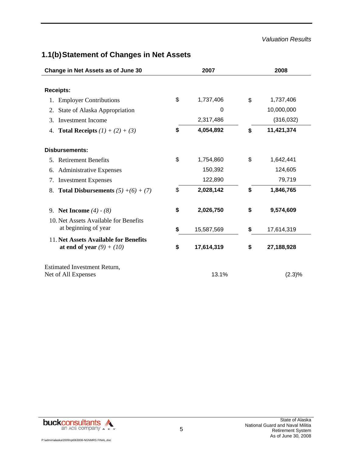#### *Valuation Results*

# **1.1(b) Statement of Changes in Net Assets**

|    | Change in Net Assets as of June 30                                   | 2007             |    | 2008       |
|----|----------------------------------------------------------------------|------------------|----|------------|
|    |                                                                      |                  |    |            |
|    | <b>Receipts:</b>                                                     |                  |    |            |
| 1. | <b>Employer Contributions</b>                                        | \$<br>1,737,406  | \$ | 1,737,406  |
| 2. | State of Alaska Appropriation                                        | 0                |    | 10,000,000 |
| 3. | <b>Investment Income</b>                                             | 2,317,486        |    | (316, 032) |
| 4. | <b>Total Receipts</b> $(1) + (2) + (3)$                              | \$<br>4,054,892  | \$ | 11,421,374 |
|    | <b>Disbursements:</b>                                                |                  |    |            |
|    | 5. Retirement Benefits                                               | \$<br>1,754,860  | \$ | 1,642,441  |
| 6. | <b>Administrative Expenses</b>                                       | 150,392          |    | 124,605    |
| 7. | <b>Investment Expenses</b>                                           | 122,890          |    | 79,719     |
| 8. | <b>Total Disbursements</b> $(5) + (6) + (7)$                         | \$<br>2,028,142  | S  | 1,846,765  |
|    | 9. Net Income $(4) - (8)$<br>10. Net Assets Available for Benefits   | \$<br>2,026,750  | \$ | 9,574,609  |
|    | at beginning of year                                                 | \$<br>15,587,569 | \$ | 17,614,319 |
|    | 11. Net Assets Available for Benefits<br>at end of year $(9) + (10)$ | \$<br>17,614,319 | \$ | 27,188,928 |
|    | <b>Estimated Investment Return,</b><br>Net of All Expenses           | 13.1%            |    | $(2.3)\%$  |

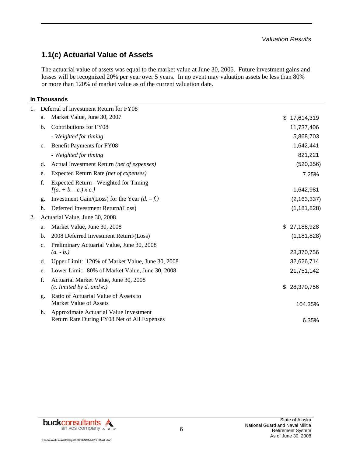### **1.1(c) Actuarial Value of Assets**

The actuarial value of assets was equal to the market value at June 30, 2006. Future investment gains and losses will be recognized 20% per year over 5 years. In no event may valuation assets be less than 80% or more than 120% of market value as of the current valuation date.

#### **In Thousands**

| 1. |                | Deferral of Investment Return for FY08                                                |                  |
|----|----------------|---------------------------------------------------------------------------------------|------------------|
|    | a.             | Market Value, June 30, 2007                                                           | \$<br>17,614,319 |
|    | b.             | Contributions for FY08                                                                | 11,737,406       |
|    |                | - Weighted for timing                                                                 | 5,868,703        |
|    | $\mathbf{c}$ . | Benefit Payments for FY08                                                             | 1,642,441        |
|    |                | - Weighted for timing                                                                 | 821,221          |
|    | d.             | Actual Investment Return (net of expenses)                                            | (520, 356)       |
|    | e.             | Expected Return Rate (net of expenses)                                                | 7.25%            |
|    | f.             | Expected Return - Weighted for Timing                                                 |                  |
|    |                | $[(a. + b. - c.) \, x \, e.]$                                                         | 1,642,981        |
|    | g.             | Investment Gain/(Loss) for the Year $(d. -f.)$                                        | (2, 163, 337)    |
|    | h.             | Deferred Investment Return/(Loss)                                                     | (1, 181, 828)    |
| 2. |                | Actuarial Value, June 30, 2008                                                        |                  |
|    | a.             | Market Value, June 30, 2008                                                           | \$<br>27,188,928 |
|    | $\mathbf{b}$ . | 2008 Deferred Investment Return/(Loss)                                                | (1, 181, 828)    |
|    | $\mathbf{c}$ . | Preliminary Actuarial Value, June 30, 2008                                            |                  |
|    |                | $(a. - b.)$                                                                           | 28,370,756       |
|    | d.             | Upper Limit: 120% of Market Value, June 30, 2008                                      | 32,626,714       |
|    | e.             | Lower Limit: 80% of Market Value, June 30, 2008                                       | 21,751,142       |
|    | f.             | Actuarial Market Value, June 30, 2008                                                 |                  |
|    |                | $(c.$ limited by d. and e.)                                                           | \$<br>28,370,756 |
|    | g.             | Ratio of Actuarial Value of Assets to<br><b>Market Value of Assets</b>                |                  |
|    |                |                                                                                       | 104.35%          |
|    | h.             | Approximate Actuarial Value Investment<br>Return Rate During FY08 Net of All Expenses | 6.35%            |
|    |                |                                                                                       |                  |

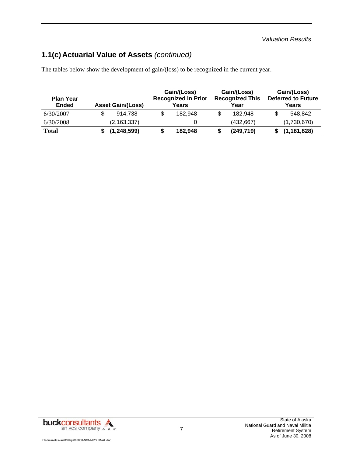# **1.1(c) Actuarial Value of Assets** *(continued)*

The tables below show the development of gain/(loss) to be recognized in the current year.

| <b>Plan Year</b><br><b>Ended</b> | <b>Asset Gain/(Loss)</b> | Gain/(Loss)<br><b>Recognized in Prior</b><br>Years | Gain/(Loss)<br><b>Recognized This</b><br>Year | Gain/(Loss)<br><b>Deferred to Future</b><br>Years |
|----------------------------------|--------------------------|----------------------------------------------------|-----------------------------------------------|---------------------------------------------------|
| 6/30/2007                        | 914.738                  | \$<br>182.948                                      | 182.948                                       | 548.842                                           |
| 6/30/2008                        | (2, 163, 337)            |                                                    | (432, 667)                                    | (1,730,670)                                       |
| Total                            | (1, 248, 599)            | \$<br>182.948                                      | (249, 719)                                    | (1, 181, 828)                                     |

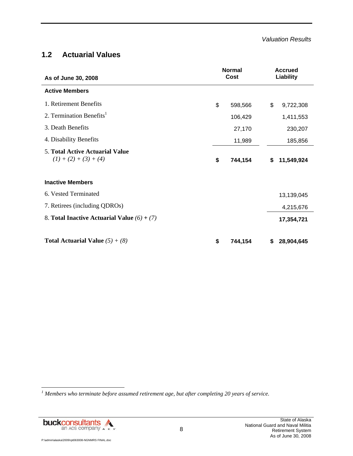### **1.2 Actuarial Values**

| As of June 30, 2008                                               | <b>Normal</b><br>Cost |         | <b>Accrued</b><br>Liability |            |
|-------------------------------------------------------------------|-----------------------|---------|-----------------------------|------------|
| <b>Active Members</b>                                             |                       |         |                             |            |
| 1. Retirement Benefits                                            | \$                    | 598,566 | \$                          | 9,722,308  |
| 2. Termination Benefits <sup>1</sup>                              |                       | 106,429 |                             | 1,411,553  |
| 3. Death Benefits                                                 |                       | 27,170  |                             | 230,207    |
| 4. Disability Benefits                                            |                       | 11,989  |                             | 185,856    |
| <b>5. Total Active Actuarial Value</b><br>$(1) + (2) + (3) + (4)$ | \$                    | 744,154 | \$                          | 11,549,924 |
| <b>Inactive Members</b>                                           |                       |         |                             |            |
| 6. Vested Terminated                                              |                       |         |                             | 13,139,045 |
| 7. Retirees (including QDROs)                                     |                       |         |                             | 4,215,676  |
| 8. Total Inactive Actuarial Value $(6) + (7)$                     |                       |         |                             | 17,354,721 |
| <b>Total Actuarial Value</b> $(5) + (8)$                          | \$                    | 744,154 | S                           | 28,904,645 |

*1 Members who terminate before assumed retirement age, but after completing 20 years of service.* 

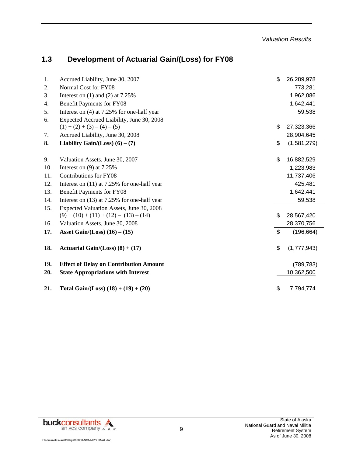# **1.3 Development of Actuarial Gain/(Loss) for FY08**

| 1.  | Accrued Liability, June 30, 2007              | \$<br>26,289,978  |
|-----|-----------------------------------------------|-------------------|
| 2.  | Normal Cost for FY08                          | 773,281           |
| 3.  | Interest on $(1)$ and $(2)$ at 7.25%          | 1,962,086         |
| 4.  | <b>Benefit Payments for FY08</b>              | 1,642,441         |
| 5.  | Interest on $(4)$ at 7.25% for one-half year  | 59,538            |
| 6.  | Expected Accrued Liability, June 30, 2008     |                   |
|     | $(1) + (2) + (3) - (4) - (5)$                 | \$<br>27,323,366  |
| 7.  | Accrued Liability, June 30, 2008              | 28,904,645        |
| 8.  | Liability Gain/(Loss) $(6) - (7)$             | \$<br>(1,581,279) |
|     |                                               |                   |
| 9.  | Valuation Assets, June 30, 2007               | \$<br>16,882,529  |
| 10. | Interest on $(9)$ at 7.25%                    | 1,223,983         |
| 11. | Contributions for FY08                        | 11,737,406        |
| 12. | Interest on $(11)$ at 7.25% for one-half year | 425,481           |
| 13. | Benefit Payments for FY08                     | 1,642,441         |
| 14. | Interest on (13) at 7.25% for one-half year   | 59,538            |
| 15. | Expected Valuation Assets, June 30, 2008      |                   |
|     | $(9) + (10) + (11) + (12) - (13) - (14)$      | \$<br>28,567,420  |
| 16. | Valuation Assets, June 30, 2008               | 28,370,756        |
| 17. | Asset Gain/(Loss) $(16) - (15)$               | \$<br>(196, 664)  |
| 18. | Actuarial Gain/(Loss) $(8) + (17)$            | \$<br>(1,777,943) |
|     |                                               |                   |
| 19. | <b>Effect of Delay on Contribution Amount</b> | (789, 783)        |
| 20. | <b>State Appropriations with Interest</b>     | 10,362,500        |
| 21. | Total Gain/(Loss) $(18) + (19) + (20)$        | \$<br>7,794,774   |

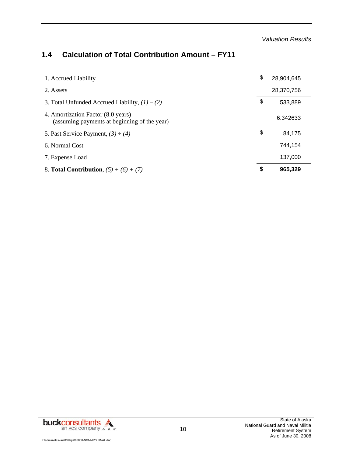# **1.4 Calculation of Total Contribution Amount – FY11**

| 1. Accrued Liability                                                               | \$<br>28,904,645 |
|------------------------------------------------------------------------------------|------------------|
| 2. Assets                                                                          | 28,370,756       |
| 3. Total Unfunded Accrued Liability, $(1) - (2)$                                   | \$<br>533,889    |
| 4. Amortization Factor (8.0 years)<br>(assuming payments at beginning of the year) | 6.342633         |
| 5. Past Service Payment, $(3) \div (4)$                                            | \$<br>84,175     |
| 6. Normal Cost                                                                     | 744,154          |
| 7. Expense Load                                                                    | 137,000          |
| 8. <b>Total Contribution</b> , $(5) + (6) + (7)$                                   | \$<br>965,329    |

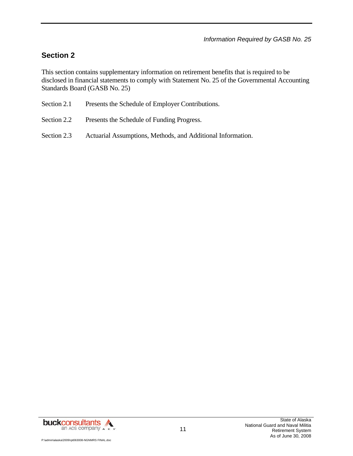# **Section 2**

This section contains supplementary information on retirement benefits that is required to be disclosed in financial statements to comply with Statement No. 25 of the Governmental Accounting Standards Board (GASB No. 25)

| Section 2.1 |  | Presents the Schedule of Employer Contributions. |
|-------------|--|--------------------------------------------------|
|             |  |                                                  |

- Section 2.2 Presents the Schedule of Funding Progress.
- Section 2.3 Actuarial Assumptions, Methods, and Additional Information.

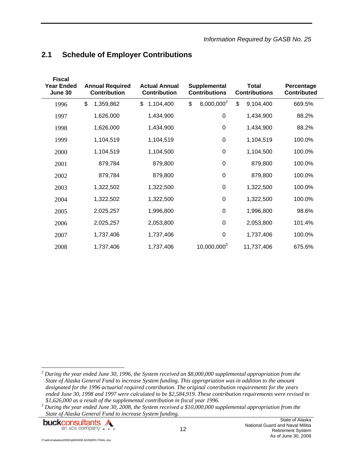| <b>Fiscal</b><br><b>Year Ended</b><br>June 30 | <b>Annual Required</b><br><b>Contribution</b> | <b>Actual Annual</b><br><b>Contribution</b> | Supplemental<br><b>Contributions</b> | <b>Total</b><br><b>Contributions</b> | Percentage<br><b>Contributed</b> |
|-----------------------------------------------|-----------------------------------------------|---------------------------------------------|--------------------------------------|--------------------------------------|----------------------------------|
| 1996                                          | \$<br>1,359,862                               | \$<br>1,104,400                             | 8,000,000 <sup>2</sup><br>\$         | \$<br>9,104,400                      | 669.5%                           |
| 1997                                          | 1,626,000                                     | 1,434,900                                   | $\mathbf 0$                          | 1,434,900                            | 88.2%                            |
| 1998                                          | 1,626,000                                     | 1,434,900                                   | $\pmb{0}$                            | 1,434,900                            | 88.2%                            |
| 1999                                          | 1,104,519                                     | 1,104,519                                   | $\pmb{0}$                            | 1,104,519                            | 100.0%                           |
| 2000                                          | 1,104,519                                     | 1,104,500                                   | $\mathbf 0$                          | 1,104,500                            | 100.0%                           |
| 2001                                          | 879,784                                       | 879,800                                     | $\pmb{0}$                            | 879,800                              | 100.0%                           |
| 2002                                          | 879,784                                       | 879,800                                     | 0                                    | 879,800                              | 100.0%                           |
| 2003                                          | 1,322,502                                     | 1,322,500                                   | $\pmb{0}$                            | 1,322,500                            | 100.0%                           |
| 2004                                          | 1,322,502                                     | 1,322,500                                   | $\mathbf 0$                          | 1,322,500                            | 100.0%                           |
| 2005                                          | 2,025,257                                     | 1,996,800                                   | $\mathbf 0$                          | 1,996,800                            | 98.6%                            |
| 2006                                          | 2,025,257                                     | 2,053,800                                   | $\mathbf 0$                          | 2,053,800                            | 101.4%                           |
| 2007                                          | 1,737,406                                     | 1,737,406                                   | $\mathbf 0$                          | 1,737,406                            | 100.0%                           |
| 2008                                          | 1,737,406                                     | 1,737,406                                   | 10,000,000 <sup>3</sup>              | 11,737,406                           | 675.6%                           |

### **2.1 Schedule of Employer Contributions**

<sup>&</sup>lt;sup>3</sup> During the year ended June 30, 2008, the System received a \$10,000,000 supplemental appropriation from the *State of Alaska General Fund to increase System funding.* 



l

*<sup>2</sup> During the year ended June 30, 1996, the System received an \$8,000,000 supplemental appropriation from the State of Alaska General Fund to increase System funding. This appropriation was in addition to the amount designated for the 1996 actuarial required contribution. The original contribution requirements for the years ended June 30, 1998 and 1997 were calculated to be \$2,584,919. These contribution requirements were revised to*  \$1,626,000 as a result of the supplemental contribution in fiscal year 1996.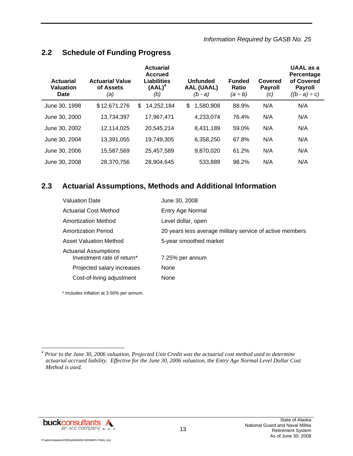*Information Required by GASB No. 25* 

### **2.2 Schedule of Funding Progress**

| Actuarial<br><b>Valuation</b><br>Date | <b>Actuarial Value</b><br>of Assets<br>(a) | <b>Actuarial</b><br><b>Accrued</b><br><b>Liabilities</b><br>$(AAL)^4$<br>(b) | <b>Unfunded</b><br><b>AAL (UAAL)</b><br>$(b - a)$ | <b>Funded</b><br>Ratio<br>(a ÷ b) | Covered<br><b>Payroll</b><br>(c) | UAAL as a<br><b>Percentage</b><br>of Covered<br><b>Payroll</b><br>$((b - a) \div c)$ |
|---------------------------------------|--------------------------------------------|------------------------------------------------------------------------------|---------------------------------------------------|-----------------------------------|----------------------------------|--------------------------------------------------------------------------------------|
| June 30, 1998                         | \$12,671,276                               | \$<br>14,252,184                                                             | \$<br>1,580,908                                   | 88.9%                             | N/A                              | N/A                                                                                  |
| June 30, 2000                         | 13,734,397                                 | 17,967,471                                                                   | 4,233,074                                         | 76.4%                             | N/A                              | N/A                                                                                  |
| June 30, 2002                         | 12,114,025                                 | 20.545.214                                                                   | 8,431,189                                         | 59.0%                             | N/A                              | N/A                                                                                  |
| June 30, 2004                         | 13,391,055                                 | 19,749,305                                                                   | 6,358,250                                         | 67.8%                             | N/A                              | N/A                                                                                  |
| June 30, 2006                         | 15,587,569                                 | 25,457,589                                                                   | 9,870,020                                         | 61.2%                             | N/A                              | N/A                                                                                  |
| June 30, 2008                         | 28.370.756                                 | 28.904.645                                                                   | 533.889                                           | 98.2%                             | N/A                              | N/A                                                                                  |

### **2.3 Actuarial Assumptions, Methods and Additional Information**

| <b>Valuation Date</b>                                      | June 30, 2008                                            |
|------------------------------------------------------------|----------------------------------------------------------|
| <b>Actuarial Cost Method</b>                               | Entry Age Normal                                         |
| Amortization Method                                        | Level dollar, open                                       |
| Amortization Period                                        | 20 years less average military service of active members |
| <b>Asset Valuation Method</b>                              | 5-year smoothed market                                   |
| <b>Actuarial Assumptions</b><br>Investment rate of return* | 7.25% per annum                                          |
| Projected salary increases                                 | <b>None</b>                                              |
| Cost-of-living adjustment                                  | None                                                     |

\* Includes inflation at 3.50% per annum.



 *4 Prior to the June 30, 2006 valuation, Projected Unit Credit was the actuarial cost method used to determine actuarial accrued liability. Effective for the June 30, 2006 valuation, the Entry Age Normal Level Dollar Cost Method is used.*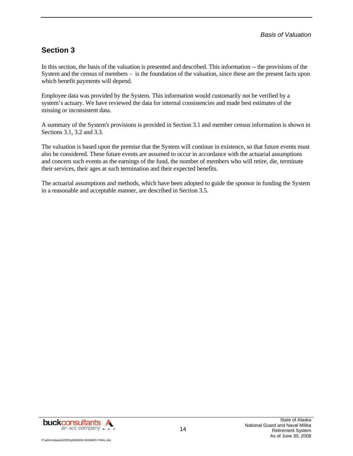### **Section 3**

In this section, the basis of the valuation is presented and described. This information -- the provisions of the System and the census of members – is the foundation of the valuation, since these are the present facts upon which benefit payments will depend.

Employee data was provided by the System. This information would customarily not be verified by a system's actuary. We have reviewed the data for internal consistencies and made best estimates of the missing or inconsistent data.

A summary of the System's provisions is provided in Section 3.1 and member census information is shown in Sections 3.1, 3.2 and 3.3.

The valuation is based upon the premise that the System will continue in existence, so that future events must also be considered. These future events are assumed to occur in accordance with the actuarial assumptions and concern such events as the earnings of the fund, the number of members who will retire, die, terminate their services, their ages at such termination and their expected benefits.

The actuarial assumptions and methods, which have been adopted to guide the sponsor in funding the System in a reasonable and acceptable manner, are described in Section 3.5.

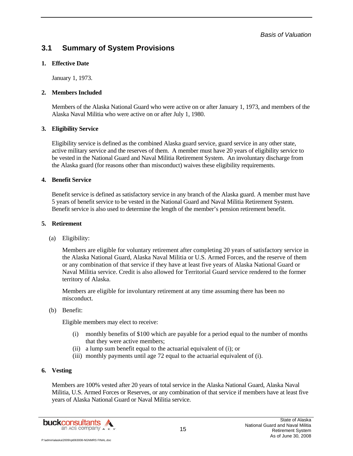*Basis of Valuation* 

### **3.1 Summary of System Provisions**

#### **1. Effective Date**

January 1, 1973.

#### **2. Members Included**

Members of the Alaska National Guard who were active on or after January 1, 1973, and members of the Alaska Naval Militia who were active on or after July 1, 1980.

#### **3. Eligibility Service**

Eligibility service is defined as the combined Alaska guard service, guard service in any other state, active military service and the reserves of them. A member must have 20 years of eligibility service to be vested in the National Guard and Naval Militia Retirement System. An involuntary discharge from the Alaska guard (for reasons other than misconduct) waives these eligibility requirements.

#### **4. Benefit Service**

Benefit service is defined as satisfactory service in any branch of the Alaska guard. A member must have 5 years of benefit service to be vested in the National Guard and Naval Militia Retirement System. Benefit service is also used to determine the length of the member's pension retirement benefit.

#### **5. Retirement**

(a) Eligibility:

Members are eligible for voluntary retirement after completing 20 years of satisfactory service in the Alaska National Guard, Alaska Naval Militia or U.S. Armed Forces, and the reserve of them or any combination of that service if they have at least five years of Alaska National Guard or Naval Militia service. Credit is also allowed for Territorial Guard service rendered to the former territory of Alaska.

Members are eligible for involuntary retirement at any time assuming there has been no misconduct.

#### (b) Benefit:

Eligible members may elect to receive:

- (i) monthly benefits of \$100 which are payable for a period equal to the number of months that they were active members;
- (ii) a lump sum benefit equal to the actuarial equivalent of (i); or
- (iii) monthly payments until age 72 equal to the actuarial equivalent of (i).

#### **6. Vesting**

Members are 100% vested after 20 years of total service in the Alaska National Guard, Alaska Naval Militia, U.S. Armed Forces or Reserves, or any combination of that service if members have at least five years of Alaska National Guard or Naval Militia service.

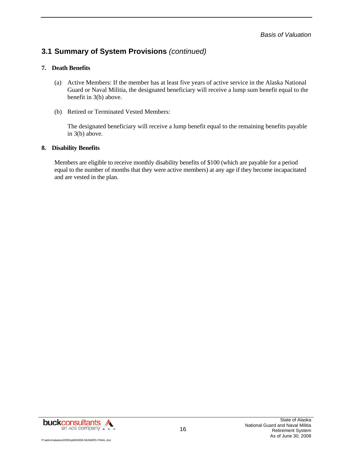### **3.1 Summary of System Provisions** *(continued)*

#### **7. Death Benefits**

- (a) Active Members: If the member has at least five years of active service in the Alaska National Guard or Naval Militia, the designated beneficiary will receive a lump sum benefit equal to the benefit in 3(b) above.
- (b) Retired or Terminated Vested Members:

The designated beneficiary will receive a lump benefit equal to the remaining benefits payable in 3(b) above.

#### **8. Disability Benefits**

Members are eligible to receive monthly disability benefits of \$100 (which are payable for a period equal to the number of months that they were active members) at any age if they become incapacitated and are vested in the plan.

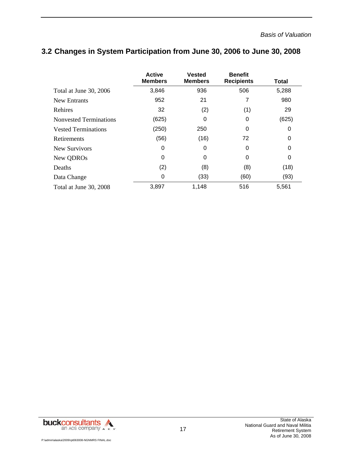|                               | <b>Active</b><br><b>Members</b> | <b>Vested</b><br><b>Members</b> | <b>Benefit</b><br><b>Recipients</b> | Total |
|-------------------------------|---------------------------------|---------------------------------|-------------------------------------|-------|
| Total at June 30, 2006        | 3,846                           | 936                             | 506                                 | 5,288 |
| New Entrants                  | 952                             | 21                              | 7                                   | 980   |
| Rehires                       | 32                              | (2)                             | (1)                                 | 29    |
| <b>Nonvested Terminations</b> | (625)                           | 0                               | 0                                   | (625) |
| <b>Vested Terminations</b>    | (250)                           | 250                             | 0                                   | 0     |
| Retirements                   | (56)                            | (16)                            | 72                                  | 0     |
| New Survivors                 | 0                               | 0                               | 0                                   | 0     |
| New QDROs                     | 0                               | 0                               | 0                                   | 0     |
| Deaths                        | (2)                             | (8)                             | (8)                                 | (18)  |
| Data Change                   | 0                               | (33)                            | (60)                                | (93)  |
| Total at June 30, 2008        | 3,897                           | 1,148                           | 516                                 | 5,561 |

### **3.2 Changes in System Participation from June 30, 2006 to June 30, 2008**

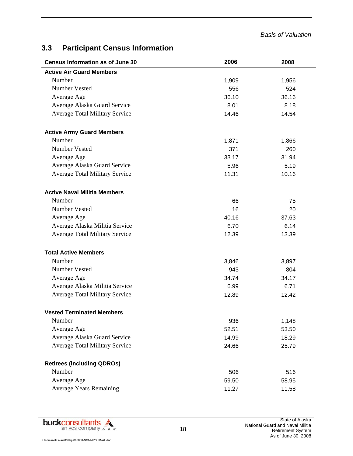#### *Basis of Valuation*

# **3.3 Participant Census Information**

| <b>Census Information as of June 30</b> | 2006  | 2008  |
|-----------------------------------------|-------|-------|
| <b>Active Air Guard Members</b>         |       |       |
| Number                                  | 1,909 | 1,956 |
| Number Vested                           | 556   | 524   |
| Average Age                             | 36.10 | 36.16 |
| Average Alaska Guard Service            | 8.01  | 8.18  |
| <b>Average Total Military Service</b>   | 14.46 | 14.54 |
| <b>Active Army Guard Members</b>        |       |       |
| Number                                  | 1,871 | 1,866 |
| Number Vested                           | 371   | 260   |
| Average Age                             | 33.17 | 31.94 |
| Average Alaska Guard Service            | 5.96  | 5.19  |
| Average Total Military Service          | 11.31 | 10.16 |
| <b>Active Naval Militia Members</b>     |       |       |
| Number                                  | 66    | 75    |
| <b>Number Vested</b>                    | 16    | 20    |
| Average Age                             | 40.16 | 37.63 |
| Average Alaska Militia Service          | 6.70  | 6.14  |
| <b>Average Total Military Service</b>   | 12.39 | 13.39 |
| <b>Total Active Members</b>             |       |       |
| Number                                  | 3,846 | 3,897 |
| Number Vested                           | 943   | 804   |
| Average Age                             | 34.74 | 34.17 |
| Average Alaska Militia Service          | 6.99  | 6.71  |
| <b>Average Total Military Service</b>   | 12.89 | 12.42 |
| <b>Vested Terminated Members</b>        |       |       |
| Number                                  | 936   | 1,148 |
| Average Age                             | 52.51 | 53.50 |
| Average Alaska Guard Service            | 14.99 | 18.29 |
| <b>Average Total Military Service</b>   | 24.66 | 25.79 |
| <b>Retirees (including QDROs)</b>       |       |       |
| Number                                  | 506   | 516   |
| Average Age                             | 59.50 | 58.95 |
| <b>Average Years Remaining</b>          | 11.27 | 11.58 |

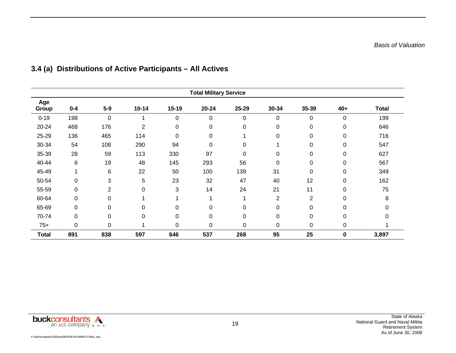| <b>Total Military Service</b> |         |                |                |           |           |             |       |                |             |              |
|-------------------------------|---------|----------------|----------------|-----------|-----------|-------------|-------|----------------|-------------|--------------|
| Age<br>Group                  | $0 - 4$ | $5-9$          | $10 - 14$      | $15-19$   | $20 - 24$ | 25-29       | 30-34 | 35-39          | $40+$       | <b>Total</b> |
| $0 - 19$                      | 198     | $\mathbf 0$    | 1              | 0         | 0         | 0           | 0     | 0              | 0           | 199          |
| 20-24                         | 468     | 176            | $\overline{2}$ | 0         | 0         | 0           | 0     | 0              | 0           | 646          |
| 25-29                         | 136     | 465            | 114            | 0         | 0         |             | 0     | 0              | $\mathbf 0$ | 716          |
| 30-34                         | 54      | 108            | 290            | 94        | 0         | 0           |       | 0              | 0           | 547          |
| 35-39                         | 28      | 59             | 113            | 330       | 97        | 0           | 0     | 0              | 0           | 627          |
| 40-44                         | 6       | 19             | 48             | 145       | 293       | 56          | 0     | 0              | 0           | 567          |
| 45-49                         | 1       | 6              | 22             | 50        | 100       | 139         | 31    | 0              | 0           | 349          |
| 50-54                         | 0       | 3              | 5              | 23        | 32        | 47          | 40    | 12             | $\mathbf 0$ | 162          |
| 55-59                         | 0       | $\overline{2}$ | $\mathbf 0$    | 3         | 14        | 24          | 21    | 11             | 0           | 75           |
| 60-64                         | 0       | 0              | 1              |           |           |             | 2     | $\overline{2}$ | 0           | 8            |
| 65-69                         | 0       | 0              | 0              | 0         | 0         | 0           | 0     | 0              | 0           |              |
| 70-74                         | 0       | 0              | $\mathbf 0$    | 0         | 0         | 0           | 0     | 0              | 0           |              |
| $75+$                         | 0       | 0              | 1              | $\pmb{0}$ | 0         | $\mathbf 0$ | 0     | 0              | 0           |              |
| <b>Total</b>                  | 891     | 838            | 597            | 646       | 537       | 268         | 95    | 25             | $\bf{0}$    | 3,897        |

# **3.4 (a) Distributions of Active Participants – All Actives**

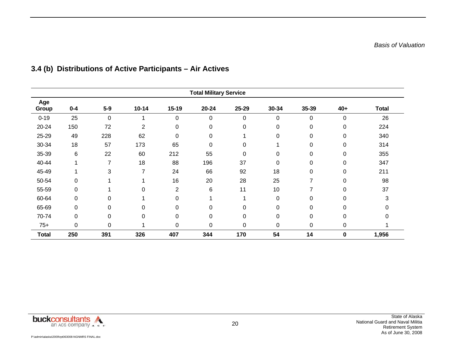| <b>Total Military Service</b> |         |          |                |                |           |             |             |       |             |              |
|-------------------------------|---------|----------|----------------|----------------|-----------|-------------|-------------|-------|-------------|--------------|
| Age<br>Group                  | $0 - 4$ | $5-9$    | $10 - 14$      | $15-19$        | $20 - 24$ | 25-29       | 30-34       | 35-39 | $40+$       | <b>Total</b> |
| $0 - 19$                      | 25      | 0        | 1              | 0              | 0         | $\pmb{0}$   | 0           | 0     | 0           | 26           |
| 20-24                         | 150     | 72       | $\overline{2}$ | 0              | 0         | 0           | 0           | 0     | 0           | 224          |
| 25-29                         | 49      | 228      | 62             | 0              | 0         |             | 0           | 0     | 0           | 340          |
| 30-34                         | 18      | 57       | 173            | 65             | $\Omega$  | $\mathbf 0$ |             | 0     | $\mathbf 0$ | 314          |
| 35-39                         | 6       | 22       | 60             | 212            | 55        | $\mathbf 0$ | $\Omega$    | 0     | $\mathbf 0$ | 355          |
| 40-44                         | 1       | 7        | 18             | 88             | 196       | 37          | $\mathbf 0$ | 0     | 0           | 347          |
| 45-49                         | 1       | 3        | 7              | 24             | 66        | 92          | 18          | 0     | 0           | 211          |
| 50-54                         | 0       |          | 1              | 16             | 20        | 28          | 25          | 7     | 0           | 98           |
| 55-59                         | 0       |          | 0              | $\overline{2}$ | 6         | 11          | 10          | 7     | 0           | 37           |
| 60-64                         | 0       | $\Omega$ | 4              | $\mathbf 0$    |           |             | 0           | 0     | 0           | 3            |
| 65-69                         | 0       | $\Omega$ | $\mathbf 0$    | $\mathbf 0$    | 0         | $\Omega$    | 0           | 0     | 0           |              |
| 70-74                         | 0       | 0        | $\mathbf 0$    | $\mathbf 0$    | 0         | 0           | 0           | 0     | 0           | 0            |
| $75+$                         | 0       | 0        | 4              | $\mathbf 0$    | 0         | $\mathbf 0$ | 0           | 0     | $\pmb{0}$   |              |
| <b>Total</b>                  | 250     | 391      | 326            | 407            | 344       | 170         | 54          | 14    | 0           | 1,956        |

# **3.4 (b) Distributions of Active Participants – Air Actives**

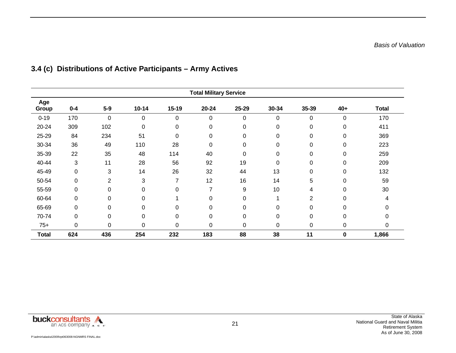| <b>Total Military Service</b> |         |                |                  |                  |           |             |       |                |             |              |
|-------------------------------|---------|----------------|------------------|------------------|-----------|-------------|-------|----------------|-------------|--------------|
| Age<br>Group                  | $0 - 4$ | $5-9$          | $10 - 14$        | $15-19$          | $20 - 24$ | 25-29       | 30-34 | 35-39          | $40+$       | <b>Total</b> |
| $0 - 19$                      | 170     | $\mathbf 0$    | 0                | $\mathbf 0$      | 0         | $\mathbf 0$ | 0     | 0              | $\mathbf 0$ | 170          |
| 20-24                         | 309     | 102            | $\mathbf 0$      | 0                | 0         | 0           | 0     | 0              | $\pmb{0}$   | 411          |
| 25-29                         | 84      | 234            | 51               | $\boldsymbol{0}$ | 0         | 0           | 0     | 0              | 0           | 369          |
| 30-34                         | 36      | 49             | 110              | 28               | 0         | 0           | 0     | 0              | 0           | 223          |
| 35-39                         | 22      | 35             | 48               | 114              | 40        | 0           | 0     | 0              | 0           | 259          |
| 40-44                         | 3       | 11             | 28               | 56               | 92        | 19          | 0     | 0              | 0           | 209          |
| 45-49                         | 0       | 3              | 14               | 26               | 32        | 44          | 13    | $\mathbf 0$    | $\pmb{0}$   | 132          |
| 50-54                         | 0       | $\overline{2}$ | 3                | 7                | 12        | 16          | 14    | 5              | 0           | 59           |
| 55-59                         | 0       | 0              | $\mathbf 0$      | 0                | 7         | 9           | 10    | 4              | 0           | 30           |
| 60-64                         | 0       | 0              | $\mathbf 0$      |                  | 0         | $\mathbf 0$ | 4     | $\overline{2}$ | $\Omega$    |              |
| 65-69                         | 0       | $\Omega$       | 0                | 0                | 0         | 0           | 0     | 0              | 0           |              |
| 70-74                         | 0       | 0              | $\boldsymbol{0}$ | $\mathbf 0$      | 0         | 0           | 0     | 0              | 0           |              |
| $75+$                         | 0       | 0              | 0                | 0                | 0         | 0           | 0     | 0              | 0           | 0            |
| <b>Total</b>                  | 624     | 436            | 254              | 232              | 183       | 88          | 38    | 11             | 0           | 1,866        |

# **3.4 (c) Distributions of Active Participants – Army Actives**

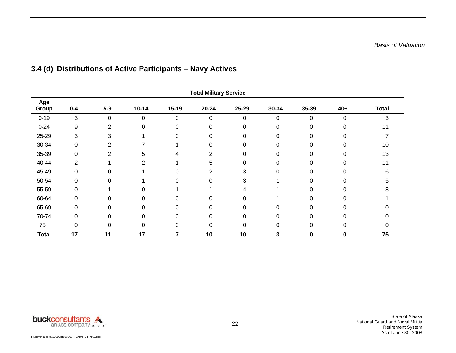| <b>Total Military Service</b> |         |                |             |             |                |          |       |       |           |              |
|-------------------------------|---------|----------------|-------------|-------------|----------------|----------|-------|-------|-----------|--------------|
| Age<br>Group                  | $0 - 4$ | $5-9$          | $10 - 14$   | $15-19$     | $20 - 24$      | 25-29    | 30-34 | 35-39 | $40+$     | <b>Total</b> |
| $0 - 19$                      | 3       | 0              | 0           | 0           | 0              | 0        | 0     | 0     | 0         | 3            |
| $0 - 24$                      | 9       | 2              | 0           | 0           | 0              | 0        | 0     | 0     | 0         | 11           |
| 25-29                         | 3       | 3              |             | 0           | 0              | 0        | 0     | 0     | 0         |              |
| 30-34                         | 0       | 2              |             |             | 0              | $\Omega$ | 0     | 0     | $\Omega$  | 10           |
| 35-39                         | 0       | $\overline{2}$ | 5           | 4           | $\overline{2}$ | $\Omega$ | 0     | 0     | $\Omega$  | 13           |
| 40-44                         | 2       |                | 2           |             | 5              | 0        | 0     | ი     | 0         | 11           |
| 45-49                         | 0       | 0              |             | 0           | 2              | 3        | 0     | 0     | 0         | 6            |
| 50-54                         | 0       | $\Omega$       |             | 0           | 0              | 3        |       | 0     | 0         | b            |
| 55-59                         | 0       |                | 0           |             |                | 4        |       | 0     | 0         | 8            |
| 60-64                         | 0       | $\Omega$       | 0           | $\Omega$    | $\Omega$       | $\Omega$ |       | 0     | 0         |              |
| 65-69                         | 0       | 0              | 0           | $\Omega$    | ი              | 0        | 0     |       | 0         |              |
| 70-74                         | 0       | $\Omega$       | 0           | $\Omega$    | 0              | $\Omega$ | 0     | 0     | 0         |              |
| $75+$                         | 0       | 0              | $\mathbf 0$ | $\mathbf 0$ | 0              | 0        | 0     | 0     | $\pmb{0}$ | 0            |
| <b>Total</b>                  | 17      | 11             | 17          | 7           | 10             | 10       | 3     | 0     | 0         | 75           |

# **3.4 (d) Distributions of Active Participants – Navy Actives**

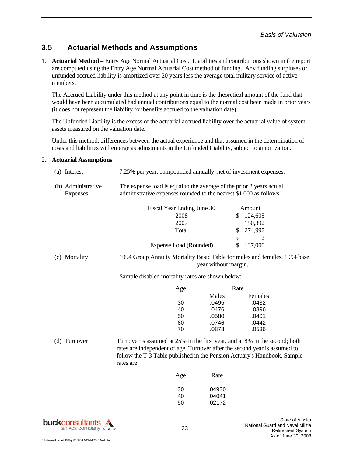### **3.5 Actuarial Methods and Assumptions**

1. **Actuarial Method –** Entry Age Normal Actuarial Cost. Liabilities and contributions shown in the report are computed using the Entry Age Normal Actuarial Cost method of funding. Any funding surpluses or unfunded accrued liability is amortized over 20 years less the average total military service of active members.

The Accrued Liability under this method at any point in time is the theoretical amount of the fund that would have been accumulated had annual contributions equal to the normal cost been made in prior years (it does not represent the liability for benefits accrued to the valuation date).

The Unfunded Liability is the excess of the actuarial accrued liability over the actuarial value of system assets measured on the valuation date.

Under this method, differences between the actual experience and that assumed in the determination of costs and liabilities will emerge as adjustments in the Unfunded Liability, subject to amortization.

#### 2. **Actuarial Assumptions**

- (a) Interest 7.25% per year, compounded annually, net of investment expenses.
- (b) Administrative Expenses The expense load is equal to the average of the prior 2 years actual administrative expenses rounded to the nearest \$1,000 as follows:

| Fiscal Year Ending June 30 | Amount  |
|----------------------------|---------|
| 2008                       | 124,605 |
| 2007                       | 150,392 |
| Total                      | 274,997 |
|                            |         |
| Expense Load (Rounded)     | 137,000 |

(c) Mortality 1994 Group Annuity Mortality Basic Table for males and females, 1994 base year without margin.

Sample disabled mortality rates are shown below:

| Age |       | Rate    |
|-----|-------|---------|
|     | Males | Females |
| 30  | .0495 | .0432   |
| 40  | .0476 | .0396   |
| 50  | .0580 | .0401   |
| 60  | .0746 | .0442   |
| 70  | .0873 | .0536   |

(d) Turnover Turnover is assumed at 25% in the first year, and at 8% in the second; both rates are independent of age. Turnover after the second year is assumed to follow the T-3 Table published in the Pension Actuary's Handbook. Sample rates are:

| Rate<br>Age                                  |  |
|----------------------------------------------|--|
| 30<br>.04930<br>.04041<br>40<br>.02172<br>50 |  |